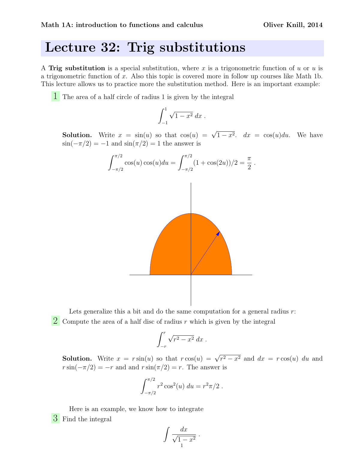## Lecture 32: Trig substitutions

A Trig substitution is a special substitution, where x is a trigonometric function of u or u is a trigonometric function of x. Also this topic is covered more in follow up courses like Math 1b. This lecture allows us to practice more the substitution method. Here is an important example:

1 The area of a half circle of radius 1 is given by the integral

$$
\int_{-1}^{1} \sqrt{1 - x^2} \, dx \, .
$$

**Solution.** Write  $x = sin(u)$  so that  $cos(u) = \sqrt{1-x^2}$ .  $dx = cos(u)du$ . We have  $\sin(-\pi/2) = -1$  and  $\sin(\pi/2) = 1$  the answer is



Lets generalize this a bit and do the same computation for a general radius  $r$ :

2 Compute the area of a half disc of radius  $r$  which is given by the integral

$$
\int_{-r}^{r} \sqrt{r^2 - x^2} \, dx \, .
$$

**Solution.** Write  $x = r \sin(u)$  so that  $r \cos(u) = \sqrt{r^2 - x^2}$  and  $dx = r \cos(u) du$  and  $r \sin(-\pi/2) = -r$  and and  $r \sin(\pi/2) = r$ . The answer is

$$
\int_{-\pi/2}^{\pi/2} r^2 \cos^2(u) \ du = r^2 \pi/2 \ .
$$

Here is an example, we know how to integrate 3 Find the integral

$$
\int \frac{dx}{\sqrt{1-x^2}}.
$$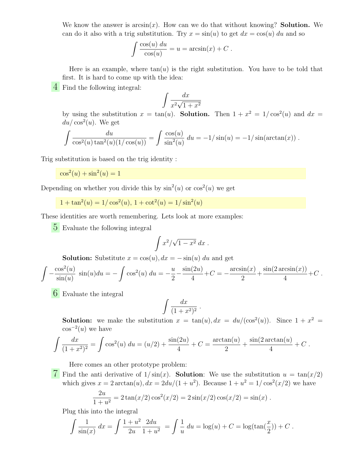We know the answer is  $arcsin(x)$ . How can we do that without knowing? **Solution.** We can do it also with a trig substitution. Try  $x = \sin(u)$  to get  $dx = \cos(u) du$  and so

$$
\int \frac{\cos(u) \, du}{\cos(u)} = u = \arcsin(x) + C.
$$

Here is an example, where  $tan(u)$  is the right substitution. You have to be told that first. It is hard to come up with the idea:

4 Find the following integral:

$$
\int \frac{dx}{x^2\sqrt{1+x^2}}
$$

by using the substitution  $x = \tan(u)$ . Solution. Then  $1 + x^2 = 1/\cos^2(u)$  and  $dx =$  $du/\cos^2(u)$ . We get

$$
\int \frac{du}{\cos^2(u)\tan^2(u)(1/\cos(u))} = \int \frac{\cos(u)}{\sin^2(u)} du = -1/\sin(u) = -1/\sin(\arctan(x)).
$$

Trig substitution is based on the trig identity :

 $\cos^2(u) + \sin^2(u) = 1$ 

Depending on whether you divide this by  $\sin^2(u)$  or  $\cos^2(u)$  we get

$$
1 + \tan^2(u) = 1/\cos^2(u), \ 1 + \cot^2(u) = 1/\sin^2(u)
$$

These identities are worth remembering. Lets look at more examples:

5 Evaluate the following integral

$$
\int x^2/\sqrt{1-x^2} \ dx \ .
$$

**Solution:** Substitute  $x = cos(u)$ ,  $dx = -sin(u) du$  and get

$$
\int -\frac{\cos^2(u)}{\sin(u)} \sin(u) du = -\int \cos^2(u) du = -\frac{u}{2} - \frac{\sin(2u)}{4} + C = -\frac{\arcsin(x)}{2} + \frac{\sin(2\arcsin(x))}{4} + C.
$$

6 Evaluate the integral

$$
\int \frac{dx}{(1+x^2)^2}
$$

**Solution:** we make the substitution  $x = \tan(u)$ ,  $dx = du/(\cos^2(u))$ . Since  $1 + x^2 =$  $\cos^{-2}(u)$  we have

.

$$
\int \frac{dx}{(1+x^2)^2} = \int \cos^2(u) \, du = (u/2) + \frac{\sin(2u)}{4} + C = \frac{\arctan(u)}{2} + \frac{\sin(2\arctan(u))}{4} + C.
$$

Here comes an other prototype problem:

7 Find the anti derivative of  $1/\sin(x)$ . Solution: We use the substitution  $u = \tan(x/2)$ which gives  $x = 2 \arctan(u)$ ,  $dx = 2du/(1 + u^2)$ . Because  $1 + u^2 = 1/\cos^2(x/2)$  we have

$$
\frac{2u}{1+u^2} = 2\tan(x/2)\cos^2(x/2) = 2\sin(x/2)\cos(x/2) = \sin(x).
$$

Plug this into the integral

$$
\int \frac{1}{\sin(x)} dx = \int \frac{1+u^2}{2u} \frac{2du}{1+u^2} = \int \frac{1}{u} du = \log(u) + C = \log(\tan(\frac{x}{2})) + C.
$$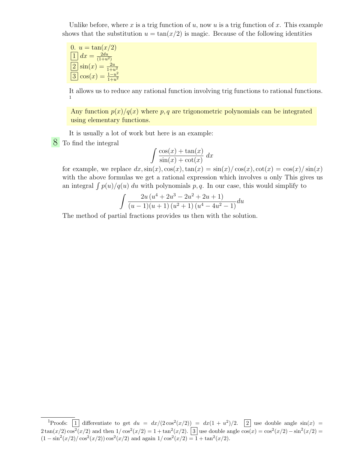Unlike before, where x is a trig function of u, now u is a trig function of x. This example shows that the substitution  $u = \tan(x/2)$  is magic. Because of the following identities

0. 
$$
u = \tan(x/2)
$$
  
\n $\boxed{1} dx = \frac{2du}{(1+u^2)}$   
\n $\boxed{2} \sin(x) = \frac{2u}{1+u^2}$   
\n $\boxed{3} \cos(x) = \frac{1-u^2}{1+u^2}$ 

It allows us to reduce any rational function involving trig functions to rational functions. 1

Any function  $p(x)/q(x)$  where p, q are trigonometric polynomials can be integrated using elementary functions.

It is usually a lot of work but here is an example:

8 To find the integral

$$
\int \frac{\cos(x) + \tan(x)}{\sin(x) + \cot(x)} dx
$$

for example, we replace  $dx$ ,  $sin(x)$ ,  $cos(x)$ ,  $tan(x) = sin(x)/cos(x)$ ,  $cot(x) = cos(x)/sin(x)$ with the above formulas we get a rational expression which involves  $u$  only This gives us an integral  $\int p(u)/q(u) du$  with polynomials p, q. In our case, this would simplify to

$$
\int \frac{2u (u^{4} + 2u^{3} - 2u^{2} + 2u + 1)}{(u - 1)(u + 1) (u^{2} + 1) (u^{4} - 4u^{2} - 1)} du
$$

The method of partial fractions provides us then with the solution.

<sup>&</sup>lt;sup>1</sup>Proofs:  $\boxed{1}$  differentiate to get  $du = dx/(2\cos^2(x/2)) = dx(1 + u^2)/2$ .  $\boxed{2}$  use double angle  $\sin(x) =$  $2 \tan(x/2) \cos^2(x/2)$  and then  $1/\cos^2(x/2) = 1 + \tan^2(x/2)$ .  $\boxed{3}$  use double angle  $\cos(x) = \cos^2(x/2) - \sin^2(x/2) =$  $(1 - \sin^2(x/2) / \cos^2(x/2)) \cos^2(x/2)$  and again  $1 / \cos^2(x/2) = 1 + \tan^2(x/2)$ .